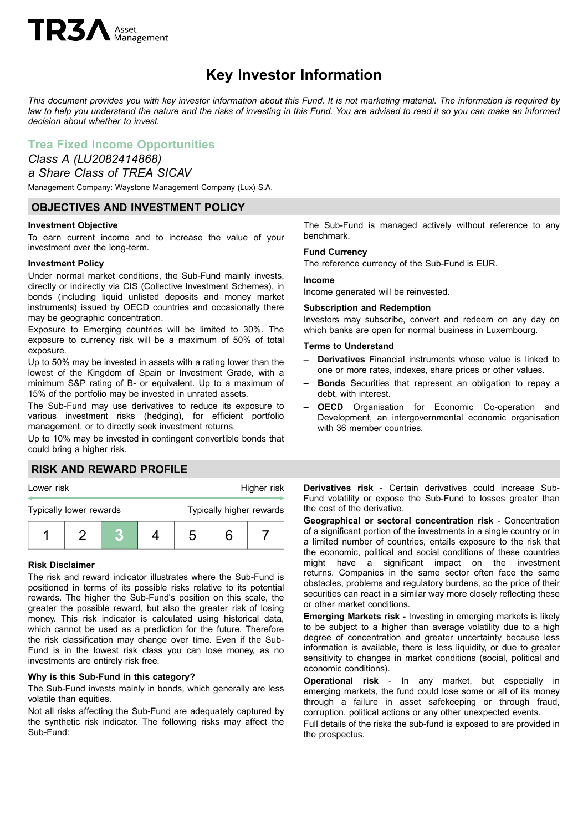# **TR3** Asset

## **Key Investor Information**

This document provides you with key investor information about this Fund. It is not marketing material. The information is required by law to help you understand the nature and the risks of investing in this Fund. You are advised to read it so you can make an informed *decision about whether to invest.*

## **Trea Fixed Income Opportunities**

## *Class A (LU2082414868) a Share Class of TREA SICAV*

Management Company: Waystone Management Company (Lux) S.A.

## **OBJECTIVES AND INVESTMENT POLICY**

#### **Investment Objective**

To earn current income and to increase the value of your investment over the long-term.

#### **Investment Policy**

Under normal market conditions, the Sub-Fund mainly invests, directly or indirectly via CIS (Collective Investment Schemes), in bonds (including liquid unlisted deposits and money market instruments) issued by OECD countries and occasionally there may be geographic concentration.

Exposure to Emerging countries will be limited to 30%. The exposure to currency risk will be a maximum of 50% of total exposure.

Up to 50% may be invested in assets with a rating lower than the lowest of the Kingdom of Spain or Investment Grade, with a minimum S&P rating of B- or equivalent. Up to a maximum of 15% of the portfolio may be invested in unrated assets.

The Sub-Fund may use derivatives to reduce its exposure to various investment risks (hedging), for efficient portfolio management, or to directly seek investment returns.

Up to 10% may be invested in contingent convertible bonds that could bring a higher risk.

## **RISK AND REWARD PROFILE**



#### **Risk Disclaimer**

The risk and reward indicator illustrates where the Sub-Fund is positioned in terms of its possible risks relative to its potential rewards. The higher the Sub-Fund's position on this scale, the greater the possible reward, but also the greater risk of losing money. This risk indicator is calculated using historical data, which cannot be used as a prediction for the future. Therefore the risk classification may change over time. Even if the Sub-Fund is in the lowest risk class you can lose money, as no investments are entirely risk free.

#### **Why is this Sub-Fund in this category?**

The Sub-Fund invests mainly in bonds, which generally are less volatile than equities.

Not all risks affecting the Sub-Fund are adequately captured by the synthetic risk indicator. The following risks may affect the Sub-Fund:

The Sub-Fund is managed actively without reference to any benchmark.

#### **Fund Currency**

The reference currency of the Sub-Fund is EUR.

#### **Income**

Income generated will be reinvested.

#### **Subscription and Redemption**

Investors may subscribe, convert and redeem on any day on which banks are open for normal business in Luxembourg.

#### **Terms to Understand**

- **– Derivatives** Financial instruments whose value is linked to one or more rates, indexes, share prices or other values.
- **– Bonds** Securities that represent an obligation to repay a debt, with interest.
- **– OECD** Organisation for Economic Co-operation and Development, an intergovernmental economic organisation with 36 member countries.

**Derivatives risk** - Certain derivatives could increase Sub-Fund volatility or expose the Sub-Fund to losses greater than the cost of the derivative.

**Geographical or sectoral concentration risk** - Concentration of a significant portion of the investments in a single country or in a limited number of countries, entails exposure to the risk that the economic, political and social conditions of these countries might have a significant impact on the investment returns. Companies in the same sector often face the same obstacles, problems and regulatory burdens, so the price of their securities can react in a similar way more closely reflecting these or other market conditions.

**Emerging Markets risk -** Investing in emerging markets is likely to be subject to a higher than average volatility due to a high degree of concentration and greater uncertainty because less information is available, there is less liquidity, or due to greater sensitivity to changes in market conditions (social, political and economic conditions).

**Operational risk** - In any market, but especially in emerging markets, the fund could lose some or all of its money through a failure in asset safekeeping or through fraud, corruption, political actions or any other unexpected events.

Full details of the risks the sub-fund is exposed to are provided in the prospectus.